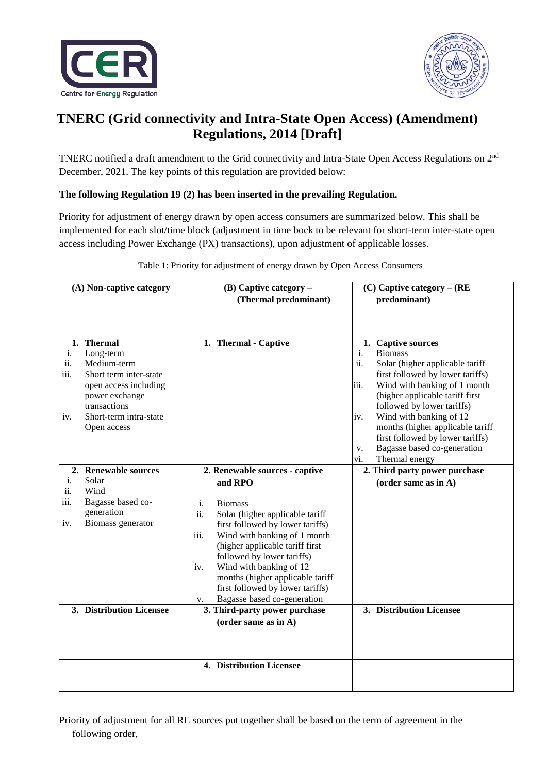



# **TNERC (Grid connectivity and Intra-State Open Access) (Amendment) Regulations, 2014 [Draft]**

TNERC notified a draft amendment to the Grid connectivity and Intra-State Open Access Regulations on 2nd December, 2021. The key points of this regulation are provided below:

### **The following Regulation 19 (2) has been inserted in the prevailing Regulation.**

Priority for adjustment of energy drawn by open access consumers are summarized below. This shall be implemented for each slot/time block (adjustment in time bock to be relevant for short-term inter-state open access including Power Exchange (PX) transactions), upon adjustment of applicable losses.

| (A) Non-captive category |                                                                                                                                                                      | $(B)$ Captive category –                                                                                                                                                                                                                                                                                                                                              | $(C)$ Captive category – (RE                                                                                                                                                                                                                                                                                                                                                                              |
|--------------------------|----------------------------------------------------------------------------------------------------------------------------------------------------------------------|-----------------------------------------------------------------------------------------------------------------------------------------------------------------------------------------------------------------------------------------------------------------------------------------------------------------------------------------------------------------------|-----------------------------------------------------------------------------------------------------------------------------------------------------------------------------------------------------------------------------------------------------------------------------------------------------------------------------------------------------------------------------------------------------------|
|                          |                                                                                                                                                                      | (Thermal predominant)                                                                                                                                                                                                                                                                                                                                                 | predominant)                                                                                                                                                                                                                                                                                                                                                                                              |
|                          |                                                                                                                                                                      |                                                                                                                                                                                                                                                                                                                                                                       |                                                                                                                                                                                                                                                                                                                                                                                                           |
| i.<br>ii.<br>iii.<br>iv. | 1. Thermal<br>Long-term<br>Medium-term<br>Short term inter-state<br>open access including<br>power exchange<br>transactions<br>Short-term intra-state<br>Open access | 1. Thermal - Captive                                                                                                                                                                                                                                                                                                                                                  | 1. Captive sources<br><b>Biomass</b><br>i.<br>ii.<br>Solar (higher applicable tariff<br>first followed by lower tariffs)<br>Wind with banking of 1 month<br>iii.<br>(higher applicable tariff first<br>followed by lower tariffs)<br>Wind with banking of 12<br>iv.<br>months (higher applicable tariff<br>first followed by lower tariffs)<br>Bagasse based co-generation<br>V.<br>vi.<br>Thermal energy |
|                          | 2. Renewable sources                                                                                                                                                 | 2. Renewable sources - captive                                                                                                                                                                                                                                                                                                                                        | 2. Third party power purchase                                                                                                                                                                                                                                                                                                                                                                             |
| i.<br>ii.<br>iii.<br>iv. | Solar<br>Wind<br>Bagasse based co-<br>generation<br>Biomass generator                                                                                                | and RPO<br>i.<br><b>Biomass</b><br>ii.<br>Solar (higher applicable tariff<br>first followed by lower tariffs)<br>Wind with banking of 1 month<br>iii.<br>(higher applicable tariff first<br>followed by lower tariffs)<br>Wind with banking of 12<br>iv.<br>months (higher applicable tariff<br>first followed by lower tariffs)<br>Bagasse based co-generation<br>v. | (order same as in A)                                                                                                                                                                                                                                                                                                                                                                                      |
|                          | 3. Distribution Licensee                                                                                                                                             | 3. Third-party power purchase<br>(order same as in A)                                                                                                                                                                                                                                                                                                                 | 3. Distribution Licensee                                                                                                                                                                                                                                                                                                                                                                                  |
|                          |                                                                                                                                                                      | 4. Distribution Licensee                                                                                                                                                                                                                                                                                                                                              |                                                                                                                                                                                                                                                                                                                                                                                                           |

Table 1: Priority for adjustment of energy drawn by Open Access Consumers

Priority of adjustment for all RE sources put together shall be based on the term of agreement in the following order,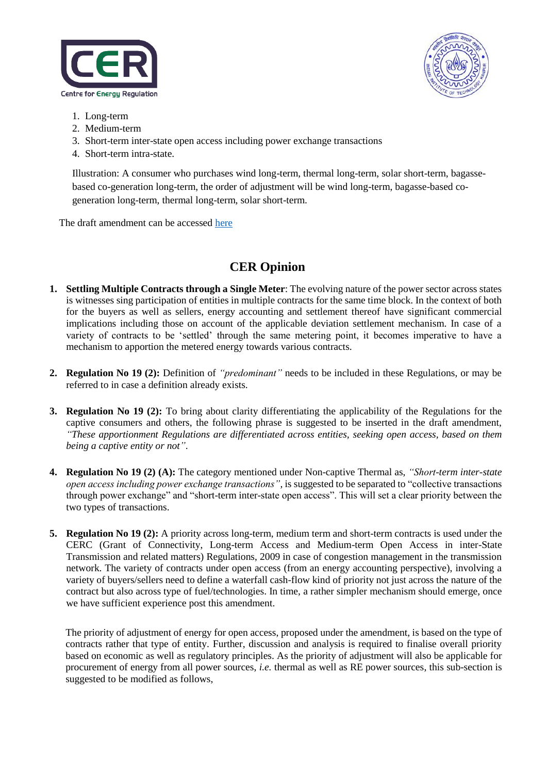



- 1. Long-term
- 2. Medium-term
- 3. Short-term inter-state open access including power exchange transactions
- 4. Short-term intra-state.

Illustration: A consumer who purchases wind long-term, thermal long-term, solar short-term, bagassebased co-generation long-term, the order of adjustment will be wind long-term, bagasse-based cogeneration long-term, thermal long-term, solar short-term.

The draft amendment can be accessed [here](https://cer.iitk.ac.in/odf_assets/upload_files/blog/TNERC_Grid_connectivity_and_Intra_State_Open_Access_Amendment_Regulations_2014.pdf)

## **CER Opinion**

- **1. Settling Multiple Contracts through a Single Meter**: The evolving nature of the power sector across states is witnesses sing participation of entities in multiple contracts for the same time block. In the context of both for the buyers as well as sellers, energy accounting and settlement thereof have significant commercial implications including those on account of the applicable deviation settlement mechanism. In case of a variety of contracts to be 'settled' through the same metering point, it becomes imperative to have a mechanism to apportion the metered energy towards various contracts.
- **2. Regulation No 19 (2):** Definition of *"predominant"* needs to be included in these Regulations, or may be referred to in case a definition already exists.
- **3. Regulation No 19 (2):** To bring about clarity differentiating the applicability of the Regulations for the captive consumers and others, the following phrase is suggested to be inserted in the draft amendment, *"These apportionment Regulations are differentiated across entities, seeking open access, based on them being a captive entity or not"*.
- **4. Regulation No 19 (2) (A):** The category mentioned under Non-captive Thermal as, *"Short-term inter-state open access including power exchange transactions",* is suggested to be separated to "collective transactions through power exchange" and "short-term inter-state open access". This will set a clear priority between the two types of transactions.
- **5. Regulation No 19 (2):** A priority across long-term, medium term and short-term contracts is used under the CERC (Grant of Connectivity, Long-term Access and Medium-term Open Access in inter-State Transmission and related matters) Regulations, 2009 in case of congestion management in the transmission network. The variety of contracts under open access (from an energy accounting perspective), involving a variety of buyers/sellers need to define a waterfall cash-flow kind of priority not just across the nature of the contract but also across type of fuel/technologies. In time, a rather simpler mechanism should emerge, once we have sufficient experience post this amendment.

The priority of adjustment of energy for open access, proposed under the amendment, is based on the type of contracts rather that type of entity. Further, discussion and analysis is required to finalise overall priority based on economic as well as regulatory principles. As the priority of adjustment will also be applicable for procurement of energy from all power sources, *i.e.* thermal as well as RE power sources, this sub-section is suggested to be modified as follows,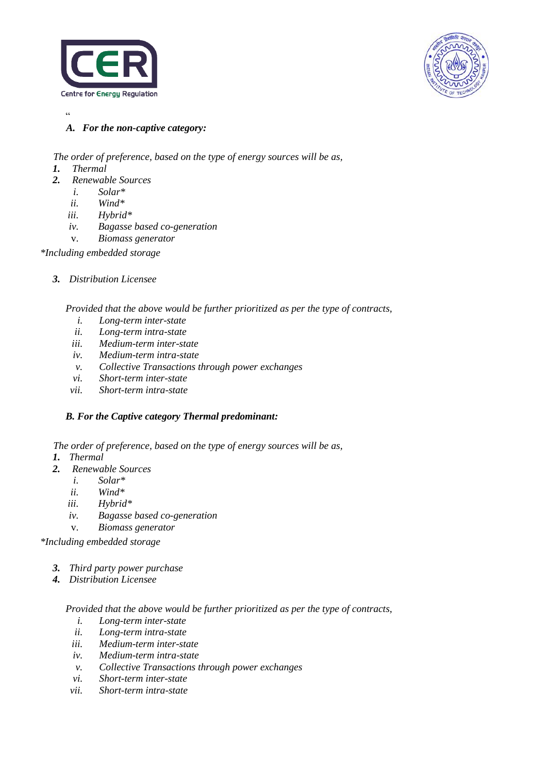



 $\epsilon$ 

*A. For the non-captive category:*

*The order of preference, based on the type of energy sources will be as,*

- *1. Thermal*
- *2. Renewable Sources*
	- *i. Solar\**
	- *ii. Wind\**
	- *iii. Hybrid\**
	- *iv. Bagasse based co-generation*
	- v. *Biomass generator*

*\*Including embedded storage*

*3. Distribution Licensee*

*Provided that the above would be further prioritized as per the type of contracts,* 

- *i. Long-term inter-state*
- *ii. Long-term intra-state*
- *iii. Medium-term inter-state*
- *iv. Medium-term intra-state*
- *v. Collective Transactions through power exchanges*
- *vi. Short-term inter-state*
- *vii. Short-term intra-state*

### *B. For the Captive category Thermal predominant:*

*The order of preference, based on the type of energy sources will be as,*

- *1. Thermal*
- *2. Renewable Sources*
	- *i. Solar\**
	- *ii. Wind\**
	- *iii. Hybrid\**
	- *iv. Bagasse based co-generation*
	- v. *Biomass generator*

*\*Including embedded storage*

- *3. Third party power purchase*
- *4. Distribution Licensee*

*Provided that the above would be further prioritized as per the type of contracts,* 

- *i. Long-term inter-state*
- *ii. Long-term intra-state*
- *iii. Medium-term inter-state*
- *iv. Medium-term intra-state*
- *v. Collective Transactions through power exchanges*
- *vi. Short-term inter-state*
- *vii. Short-term intra-state*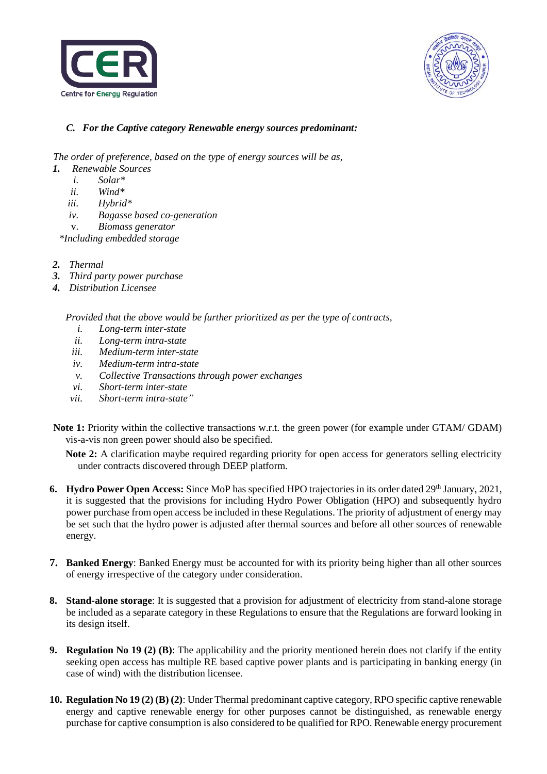



#### *C. For the Captive category Renewable energy sources predominant:*

*The order of preference, based on the type of energy sources will be as,*

- *1. Renewable Sources*
	- *i. Solar\**
	- *ii. Wind\**
	- *iii. Hybrid\**
	- *iv. Bagasse based co-generation*
	- v. *Biomass generator*

*\*Including embedded storage*

- *2. Thermal*
- *3. Third party power purchase*
- *4. Distribution Licensee*

*Provided that the above would be further prioritized as per the type of contracts,* 

- *i. Long-term inter-state*
- *ii. Long-term intra-state*
- *iii. Medium-term inter-state*
- *iv. Medium-term intra-state*
- *v. Collective Transactions through power exchanges*
- *vi. Short-term inter-state*
- *vii. Short-term intra-state"*
- **Note 1:** Priority within the collective transactions w.r.t. the green power (for example under GTAM/ GDAM) vis-a-vis non green power should also be specified.

**Note 2:** A clarification maybe required regarding priority for open access for generators selling electricity under contracts discovered through DEEP platform.

- **6. Hydro Power Open Access:** Since MoP has specified HPO trajectories in its order dated 29<sup>th</sup> January, 2021, it is suggested that the provisions for including Hydro Power Obligation (HPO) and subsequently hydro power purchase from open access be included in these Regulations. The priority of adjustment of energy may be set such that the hydro power is adjusted after thermal sources and before all other sources of renewable energy.
- **7. Banked Energy**: Banked Energy must be accounted for with its priority being higher than all other sources of energy irrespective of the category under consideration.
- **8. Stand-alone storage**: It is suggested that a provision for adjustment of electricity from stand-alone storage be included as a separate category in these Regulations to ensure that the Regulations are forward looking in its design itself.
- **9. Regulation No 19 (2) (B)**: The applicability and the priority mentioned herein does not clarify if the entity seeking open access has multiple RE based captive power plants and is participating in banking energy (in case of wind) with the distribution licensee.
- **10. Regulation No 19 (2) (B) (2)**: Under Thermal predominant captive category, RPO specific captive renewable energy and captive renewable energy for other purposes cannot be distinguished, as renewable energy purchase for captive consumption is also considered to be qualified for RPO. Renewable energy procurement